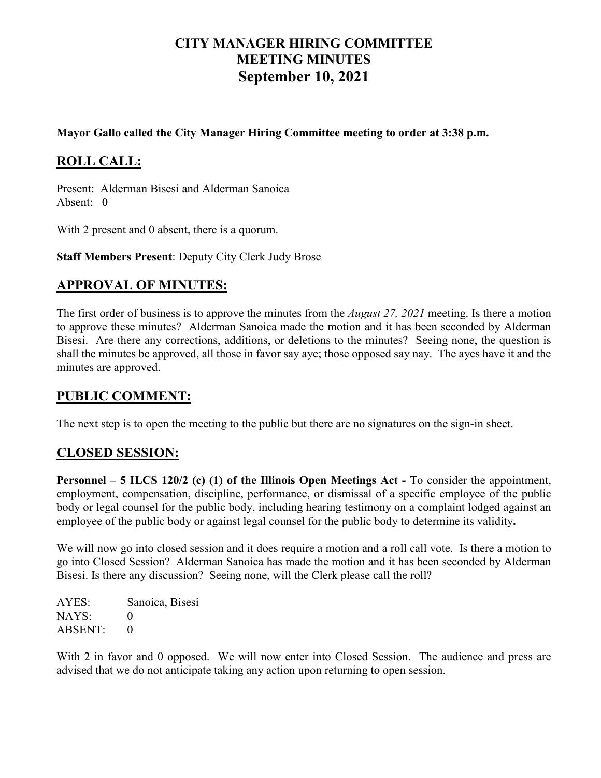# **CITY MANAGER HIRING COMMITTEE MEETING MINUTES September 10, 2021**

#### **Mayor Gallo called the City Manager Hiring Committee meeting to order at 3:38 p.m.**

# **ROLL CALL:**

Present: Alderman Bisesi and Alderman Sanoica Absent: 0

With 2 present and 0 absent, there is a quorum.

**Staff Members Present**: Deputy City Clerk Judy Brose

## **APPROVAL OF MINUTES:**

The first order of business is to approve the minutes from the *August 27, 2021* meeting. Is there a motion to approve these minutes? Alderman Sanoica made the motion and it has been seconded by Alderman Bisesi. Are there any corrections, additions, or deletions to the minutes? Seeing none, the question is shall the minutes be approved, all those in favor say aye; those opposed say nay. The ayes have it and the minutes are approved.

## **PUBLIC COMMENT:**

The next step is to open the meeting to the public but there are no signatures on the sign-in sheet.

## **CLOSED SESSION:**

**Personnel – 5 ILCS 120/2 (c) (1) of the Illinois Open Meetings Act -** To consider the appointment, employment, compensation, discipline, performance, or dismissal of a specific employee of the public body or legal counsel for the public body, including hearing testimony on a complaint lodged against an employee of the public body or against legal counsel for the public body to determine its validity**.**

We will now go into closed session and it does require a motion and a roll call vote. Is there a motion to go into Closed Session? Alderman Sanoica has made the motion and it has been seconded by Alderman Bisesi. Is there any discussion? Seeing none, will the Clerk please call the roll?

AYES: Sanoica, Bisesi  $NAYS: 0$ ABSENT: 0

With 2 in favor and 0 opposed. We will now enter into Closed Session. The audience and press are advised that we do not anticipate taking any action upon returning to open session.